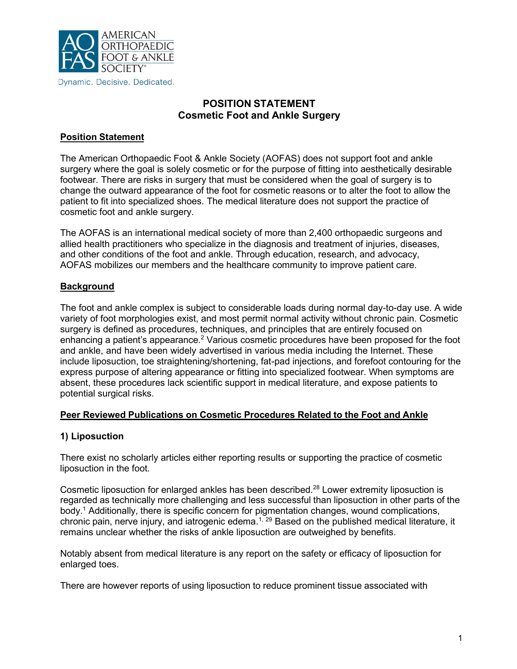

# **POSITION STATEMENT Cosmetic Foot and Ankle Surgery**

## **Position Statement**

The American Orthopaedic Foot & Ankle Society (AOFAS) does not support foot and ankle surgery where the goal is solely cosmetic or for the purpose of fitting into aesthetically desirable footwear. There are risks in surgery that must be considered when the goal of surgery is to change the outward appearance of the foot for cosmetic reasons or to alter the foot to allow the patient to fit into specialized shoes. The medical literature does not support the practice of cosmetic foot and ankle surgery.

The AOFAS is an international medical society of more than 2,400 orthopaedic surgeons and allied health practitioners who specialize in the diagnosis and treatment of injuries, diseases, and other conditions of the foot and ankle. Through education, research, and advocacy, AOFAS mobilizes our members and the healthcare community to improve patient care.

### **Background**

The foot and ankle complex is subject to considerable loads during normal day-to-day use. A wide variety of foot morphologies exist, and most permit normal activity without chronic pain. Cosmetic surgery is defined as procedures, techniques, and principles that are entirely focused on enhancing a patient's appearance.<sup>2</sup> Various cosmetic procedures have been proposed for the foot and ankle, and have been widely advertised in various media including the Internet. These include liposuction, toe straightening/shortening, fat-pad injections, and forefoot contouring for the express purpose of altering appearance or fitting into specialized footwear. When symptoms are absent, these procedures lack scientific support in medical literature, and expose patients to potential surgical risks.

### **Peer Reviewed Publications on Cosmetic Procedures Related to the Foot and Ankle**

## **1) Liposuction**

There exist no scholarly articles either reporting results or supporting the practice of cosmetic liposuction in the foot.

Cosmetic liposuction for enlarged ankles has been described.<sup>28</sup> Lower extremity liposuction is regarded as technically more challenging and less successful than liposuction in other parts of the body.<sup>1</sup> Additionally, there is specific concern for pigmentation changes, wound complications, chronic pain, nerve injury, and iatrogenic edema.<sup>1, 29</sup> Based on the published medical literature, it remains unclear whether the risks of ankle liposuction are outweighed by benefits.

Notably absent from medical literature is any report on the safety or efficacy of liposuction for enlarged toes.

There are however reports of using liposuction to reduce prominent tissue associated with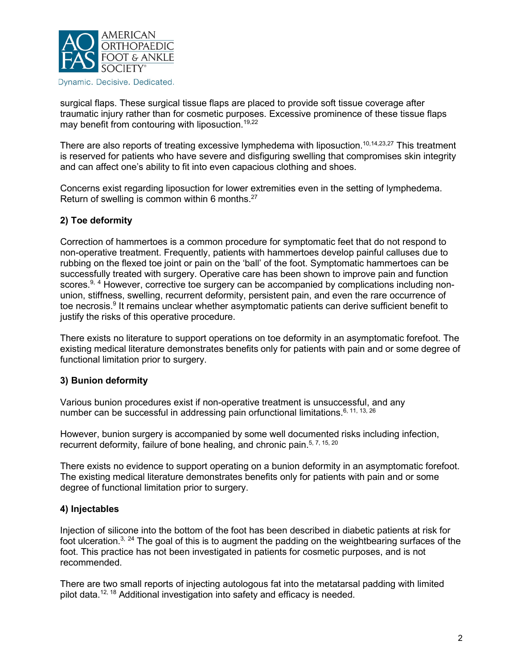

surgical flaps. These surgical tissue flaps are placed to provide soft tissue coverage after traumatic injury rather than for cosmetic purposes. Excessive prominence of these tissue flaps may benefit from contouring with liposuction.<sup>19,22</sup>

There are also reports of treating excessive lymphedema with liposuction.<sup>10,14,23,27</sup> This treatment is reserved for patients who have severe and disfiguring swelling that compromises skin integrity and can affect one's ability to fit into even capacious clothing and shoes.

Concerns exist regarding liposuction for lower extremities even in the setting of lymphedema. Return of swelling is common within 6 months.<sup>27</sup>

### **2) Toe deformity**

Correction of hammertoes is a common procedure for symptomatic feet that do not respond to non-operative treatment. Frequently, patients with hammertoes develop painful calluses due to rubbing on the flexed toe joint or pain on the 'ball' of the foot. Symptomatic hammertoes can be successfully treated with surgery. Operative care has been shown to improve pain and function scores.<sup>9, 4</sup> However, corrective toe surgery can be accompanied by complications including nonunion, stiffness, swelling, recurrent deformity, persistent pain, and even the rare occurrence of toe necrosis.<sup>9</sup> It remains unclear whether asymptomatic patients can derive sufficient benefit to justify the risks of this operative procedure.

There exists no literature to support operations on toe deformity in an asymptomatic forefoot. The existing medical literature demonstrates benefits only for patients with pain and or some degree of functional limitation prior to surgery.

### **3) Bunion deformity**

Various bunion procedures exist if non-operative treatment is unsuccessful, and any number can be successful in addressing pain orfunctional limitations.<sup>6, 11, 13, 26</sup>

However, bunion surgery is accompanied by some well documented risks including infection, recurrent deformity, failure of bone healing, and chronic pain.<sup>5, 7, 15, 20</sup>

There exists no evidence to support operating on a bunion deformity in an asymptomatic forefoot. The existing medical literature demonstrates benefits only for patients with pain and or some degree of functional limitation prior to surgery.

### **4) Injectables**

Injection of silicone into the bottom of the foot has been described in diabetic patients at risk for foot ulceration.<sup>3, 24</sup> The goal of this is to augment the padding on the weightbearing surfaces of the foot. This practice has not been investigated in patients for cosmetic purposes, and is not recommended.

There are two small reports of injecting autologous fat into the metatarsal padding with limited pilot data.<sup>12, 18</sup> Additional investigation into safety and efficacy is needed.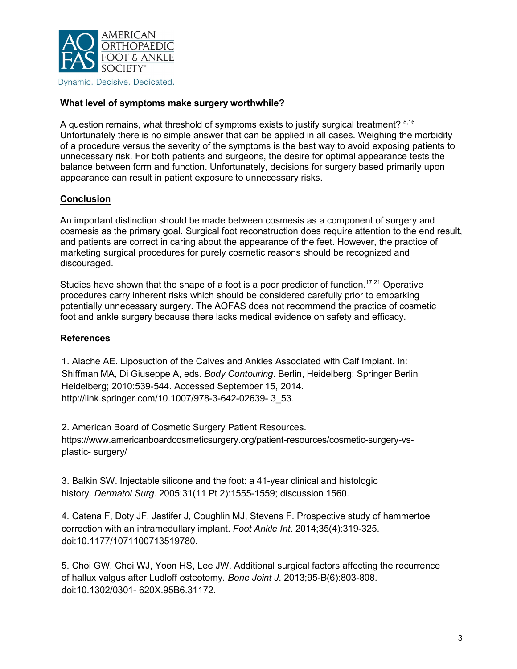

#### **What level of symptoms make surgery worthwhile?**

A question remains, what threshold of symptoms exists to justify surgical treatment? <sup>8,16</sup> Unfortunately there is no simple answer that can be applied in all cases. Weighing the morbidity of a procedure versus the severity of the symptoms is the best way to avoid exposing patients to unnecessary risk. For both patients and surgeons, the desire for optimal appearance tests the balance between form and function. Unfortunately, decisions for surgery based primarily upon appearance can result in patient exposure to unnecessary risks.

### **Conclusion**

An important distinction should be made between cosmesis as a component of surgery and cosmesis as the primary goal. Surgical foot reconstruction does require attention to the end result, and patients are correct in caring about the appearance of the feet. However, the practice of marketing surgical procedures for purely cosmetic reasons should be recognized and discouraged.

Studies have shown that the shape of a foot is a poor predictor of function.<sup>17,21</sup> Operative procedures carry inherent risks which should be considered carefully prior to embarking potentially unnecessary surgery. The AOFAS does not recommend the practice of cosmetic foot and ankle surgery because there lacks medical evidence on safety and efficacy.

### **References**

1. Aiache AE. Liposuction of the Calves and Ankles Associated with Calf Implant. In: Shiffman MA, Di Giuseppe A, eds. *Body Contouring*. Berlin, Heidelberg: Springer Berlin Heidelberg; 2010:539-544. Accessed September 15, 2014. [http://link.springer.com/10.1007/978-3-642-02639- 3](http://link.springer.com/10.1007/978-3-642-02639-)\_53.

2. American Board of Cosmetic Surgery Patient Resources. https:/[/www.americanboardcosmeticsurgery.org/patient-resources/cosmetic-surgery-vs](http://www.americanboardcosmeticsurgery.org/patient-resources/cosmetic-surgery-vs-plastic-)[plastic- s](http://www.americanboardcosmeticsurgery.org/patient-resources/cosmetic-surgery-vs-plastic-)urgery/

3. Balkin SW. Injectable silicone and the foot: a 41-year clinical and histologic history. *Dermatol Surg*. 2005;31(11 Pt 2):1555-1559; discussion 1560.

4. Catena F, Doty JF, Jastifer J, Coughlin MJ, Stevens F. Prospective study of hammertoe correction with an intramedullary implant. *Foot Ankle Int*. 2014;35(4):319-325. doi:10.1177/1071100713519780.

5. Choi GW, Choi WJ, Yoon HS, Lee JW. Additional surgical factors affecting the recurrence of hallux valgus after Ludloff osteotomy. *Bone Joint J*. 2013;95-B(6):803-808. doi:10.1302/0301- 620X.95B6.31172.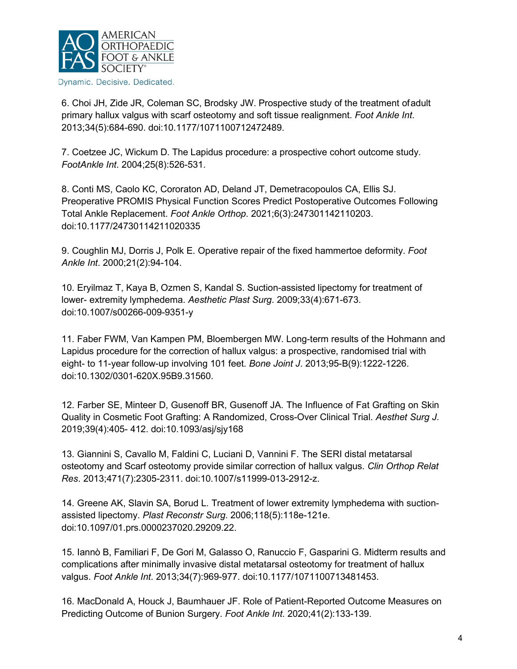

6. Choi JH, Zide JR, Coleman SC, Brodsky JW. Prospective study of the treatment ofadult primary hallux valgus with scarf osteotomy and soft tissue realignment. *Foot Ankle Int*. 2013;34(5):684-690. doi:10.1177/1071100712472489.

7. Coetzee JC, Wickum D. The Lapidus procedure: a prospective cohort outcome study. *FootAnkle Int*. 2004;25(8):526-531.

8. Conti MS, Caolo KC, Cororaton AD, Deland JT, Demetracopoulos CA, Ellis SJ. Preoperative PROMIS Physical Function Scores Predict Postoperative Outcomes Following Total Ankle Replacement. *Foot Ankle Orthop*. 2021;6(3):247301142110203. doi:10.1177/24730114211020335

9. Coughlin MJ, Dorris J, Polk E. Operative repair of the fixed hammertoe deformity. *Foot Ankle Int*. 2000;21(2):94-104.

10. Eryilmaz T, Kaya B, Ozmen S, Kandal S. Suction-assisted lipectomy for treatment of lower- extremity lymphedema. *Aesthetic Plast Surg*. 2009;33(4):671-673. doi:10.1007/s00266-009-9351-y

11. Faber FWM, Van Kampen PM, Bloembergen MW. Long-term results of the Hohmann and Lapidus procedure for the correction of hallux valgus: a prospective, randomised trial with eight- to 11-year follow-up involving 101 feet. *Bone Joint J*. 2013;95-B(9):1222-1226. doi:10.1302/0301-620X.95B9.31560.

12. Farber SE, Minteer D, Gusenoff BR, Gusenoff JA. The Influence of Fat Grafting on Skin Quality in Cosmetic Foot Grafting: A Randomized, Cross-Over Clinical Trial. *Aesthet Surg J*. 2019;39(4):405- 412. doi:10.1093/asj/sjy168

13. Giannini S, Cavallo M, Faldini C, Luciani D, Vannini F. The SERI distal metatarsal osteotomy and Scarf osteotomy provide similar correction of hallux valgus. *Clin Orthop Relat Res*. 2013;471(7):2305-2311. doi:10.1007/s11999-013-2912-z.

14. Greene AK, Slavin SA, Borud L. Treatment of lower extremity lymphedema with suctionassisted lipectomy. *Plast Reconstr Surg*. 2006;118(5):118e-121e. doi:10.1097/01.prs.0000237020.29209.22.

15. Iannò B, Familiari F, De Gori M, Galasso O, Ranuccio F, Gasparini G. Midterm results and complications after minimally invasive distal metatarsal osteotomy for treatment of hallux valgus. *Foot Ankle Int*. 2013;34(7):969-977. doi:10.1177/1071100713481453.

16. MacDonald A, Houck J, Baumhauer JF. Role of Patient-Reported Outcome Measures on Predicting Outcome of Bunion Surgery. *Foot Ankle Int*. 2020;41(2):133-139.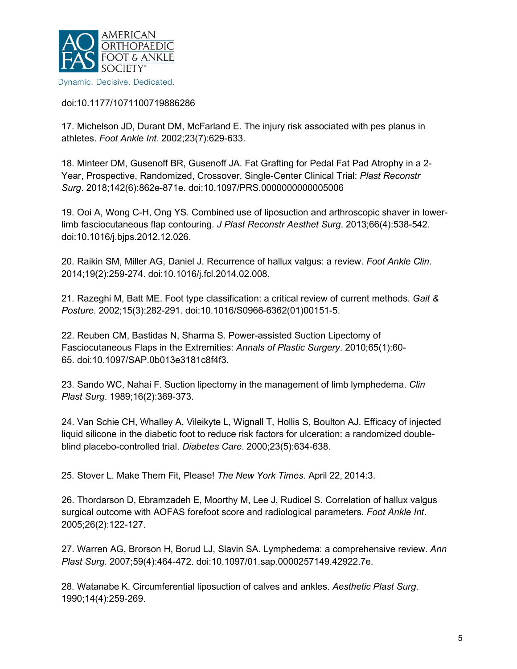

doi:10.1177/1071100719886286

17. Michelson JD, Durant DM, McFarland E. The injury risk associated with pes planus in athletes. *Foot Ankle Int*. 2002;23(7):629-633.

18. Minteer DM, Gusenoff BR, Gusenoff JA. Fat Grafting for Pedal Fat Pad Atrophy in a 2- Year, Prospective, Randomized, Crossover, Single-Center Clinical Trial: *Plast Reconstr Surg*. 2018;142(6):862e-871e. doi:10.1097/PRS.0000000000005006

19. Ooi A, Wong C-H, Ong YS. Combined use of liposuction and arthroscopic shaver in lowerlimb fasciocutaneous flap contouring. *J Plast Reconstr Aesthet Surg*. 2013;66(4):538-542. doi:10.1016/j.bjps.2012.12.026.

20. Raikin SM, Miller AG, Daniel J. Recurrence of hallux valgus: a review. *Foot Ankle Clin*. 2014;19(2):259-274. doi:10.1016/j.fcl.2014.02.008.

21. Razeghi M, Batt ME. Foot type classification: a critical review of current methods. *Gait & Posture*. 2002;15(3):282-291. doi:10.1016/S0966-6362(01)00151-5.

22. Reuben CM, Bastidas N, Sharma S. Power-assisted Suction Lipectomy of Fasciocutaneous Flaps in the Extremities: *Annals of Plastic Surgery*. 2010;65(1):60- 65. doi:10.1097/SAP.0b013e3181c8f4f3.

23. Sando WC, Nahai F. Suction lipectomy in the management of limb lymphedema. *Clin Plast Surg*. 1989;16(2):369-373.

24. Van Schie CH, Whalley A, Vileikyte L, Wignall T, Hollis S, Boulton AJ. Efficacy of injected liquid silicone in the diabetic foot to reduce risk factors for ulceration: a randomized doubleblind placebo-controlled trial. *Diabetes Care*. 2000;23(5):634-638.

25. Stover L. Make Them Fit, Please! *The New York Times*. April 22, 2014:3.

26. Thordarson D, Ebramzadeh E, Moorthy M, Lee J, Rudicel S. Correlation of hallux valgus surgical outcome with AOFAS forefoot score and radiological parameters. *Foot Ankle Int*. 2005;26(2):122-127.

27. Warren AG, Brorson H, Borud LJ, Slavin SA. Lymphedema: a comprehensive review. *Ann Plast Surg*. 2007;59(4):464-472. doi:10.1097/01.sap.0000257149.42922.7e.

28. Watanabe K. Circumferential liposuction of calves and ankles. *Aesthetic Plast Surg*. 1990;14(4):259-269.